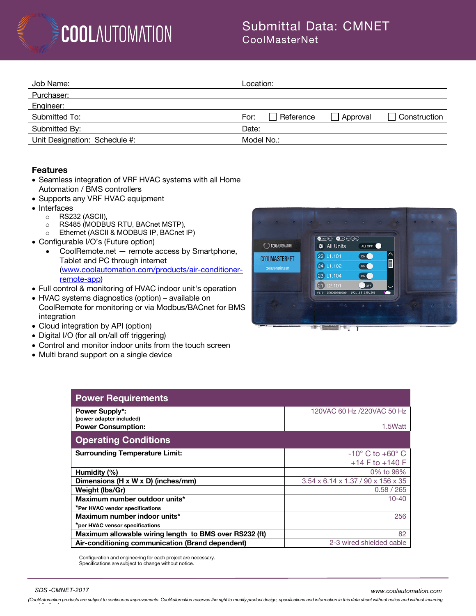### Submittal Data: CMNET CoolMasterNet

| Job Name:                     | Location:                                     |
|-------------------------------|-----------------------------------------------|
| Purchaser:                    |                                               |
| Engineer:                     |                                               |
| Submitted To:                 | Reference<br>Construction<br>Approval<br>For: |
| Submitted By:                 | Date:                                         |
| Unit Designation: Schedule #: | Model No.:                                    |

#### **Features**

- Seamless integration of VRF HVAC systems with all Home Automation / BMS controllers
- Supports any VRF HVAC equipment
- Interfaces

*any obligations)*

- RS232 (ASCII),<br>○ RS485 (MODBL
- o RS485 (MODBUS RTU, BACnet MSTP),<br>○ Ethernet (ASCII & MODBUS IP. BACnet
- Ethernet (ASCII & MODBUS IP, BACnet IP)
- Configurable I/O's (Future option)
	- CoolRemote.net remote access by Smartphone, Tablet and PC through internet (www.coolautomation.com/products/air-conditionerremote-app)
- Full control & monitoring of HVAC indoor unit's operation
- HVAC systems diagnostics (option) available on CoolRemote for monitoring or via Modbus/BACnet for BMS integration
- Cloud integration by API (option)
- Digital I/O (for all on/all off triggering)
- Control and monitor indoor units from the touch screen
- Multi brand support on a single device



| <b>Power Requirements</b>                              |                                    |
|--------------------------------------------------------|------------------------------------|
| <b>Power Supply*:</b><br>(power adapter included)      | 120VAC 60 Hz /220VAC 50 Hz         |
| <b>Power Consumption:</b>                              | 1.5Watt                            |
| <b>Operating Conditions</b>                            |                                    |
| <b>Surrounding Temperature Limit:</b>                  | $-10^{\circ}$ C to $+60^{\circ}$ C |
|                                                        | $+14$ F to $+140$ F                |
| Humidity (%)                                           | 0% to 96%                          |
| Dimensions (H x W x D) (inches/mm)                     | 3.54 x 6.14 x 1.37 / 90 x 156 x 35 |
| Weight (lbs/Gr)                                        | 0.58 / 265                         |
| Maximum number outdoor units*                          | $10 - 40$                          |
| *Per HVAC vendor specifications                        |                                    |
| Maximum number indoor units*                           | 256                                |
| *per HVAC vensor specifications                        |                                    |
| Maximum allowable wiring length to BMS over RS232 (ft) | 82                                 |
| Air-conditioning communication (Brand dependent)       | 2-3 wired shielded cable           |

Configuration and engineering for each project are necessary. Specifications are subject to change without notice.

*SDS -CMNET-2017 www.coolautomation.com* (CoolAutomation products are subject to continuous improvements. CoolAutomation reserves the right to modify product design, specifications and information in this data sheet without notice and without incurring